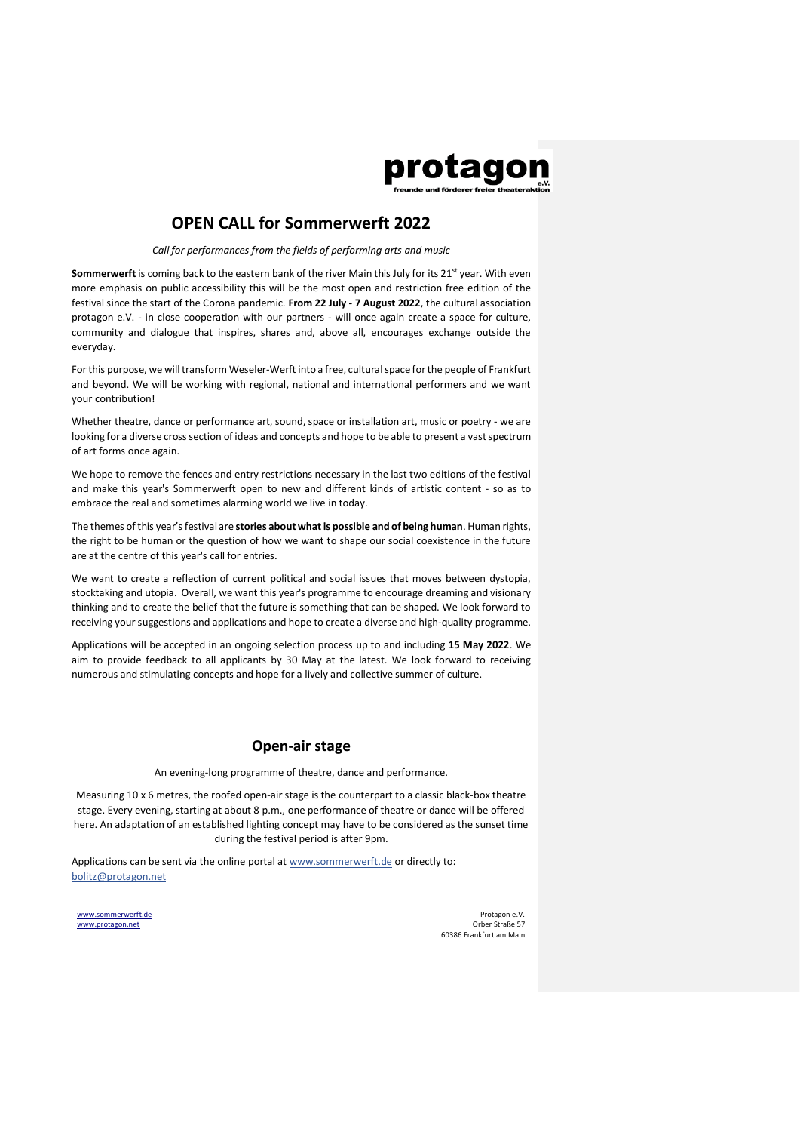

## **OPEN CALL for Sommerwerft 2022**

#### *Call for performances from the fields of performing arts and music*

**Sommerwerft** is coming back to the eastern bank of the river Main this July for its 21<sup>st</sup> year. With even more emphasis on public accessibility this will be the most open and restriction free edition of the festival since the start of the Corona pandemic. **From 22 July - 7 August 2022**, the cultural association protagon e.V. - in close cooperation with our partners - will once again create a space for culture, community and dialogue that inspires, shares and, above all, encourages exchange outside the everyday.

For this purpose, we will transform Weseler-Werft into a free, cultural space for the people of Frankfurt and beyond. We will be working with regional, national and international performers and we want your contribution!

Whether theatre, dance or performance art, sound, space or installation art, music or poetry - we are looking for a diverse cross section of ideas and concepts and hope to be able to present a vast spectrum of art forms once again.

We hope to remove the fences and entry restrictions necessary in the last two editions of the festival and make this year's Sommerwerft open to new and different kinds of artistic content - so as to embrace the real and sometimes alarming world we live in today.

The themes of this year's festival are **stories about what is possible and of being human**. Human rights, the right to be human or the question of how we want to shape our social coexistence in the future are at the centre of this year's call for entries.

We want to create a reflection of current political and social issues that moves between dystopia, stocktaking and utopia. Overall, we want this year's programme to encourage dreaming and visionary thinking and to create the belief that the future is something that can be shaped. We look forward to receiving your suggestions and applications and hope to create a diverse and high-quality programme.

Applications will be accepted in an ongoing selection process up to and including **15 May 2022**. We aim to provide feedback to all applicants by 30 May at the latest. We look forward to receiving numerous and stimulating concepts and hope for a lively and collective summer of culture.

#### **Open-air stage**

An evening-long programme of theatre, dance and performance.

Measuring 10 x 6 metres, the roofed open-air stage is the counterpart to a classic black-box theatre stage. Every evening, starting at about 8 p.m., one performance of theatre or dance will be offered here. An adaptation of an established lighting concept may have to be considered as the sunset time during the festival period is after 9pm.

Applications can be sent via the online portal at www.sommerwerft.de or directly to: bolitz@protagon.net

[www.sommerwerft.de](http://www.sommerwerft.de/) [www.protagon.net](http://www.protagon.net/)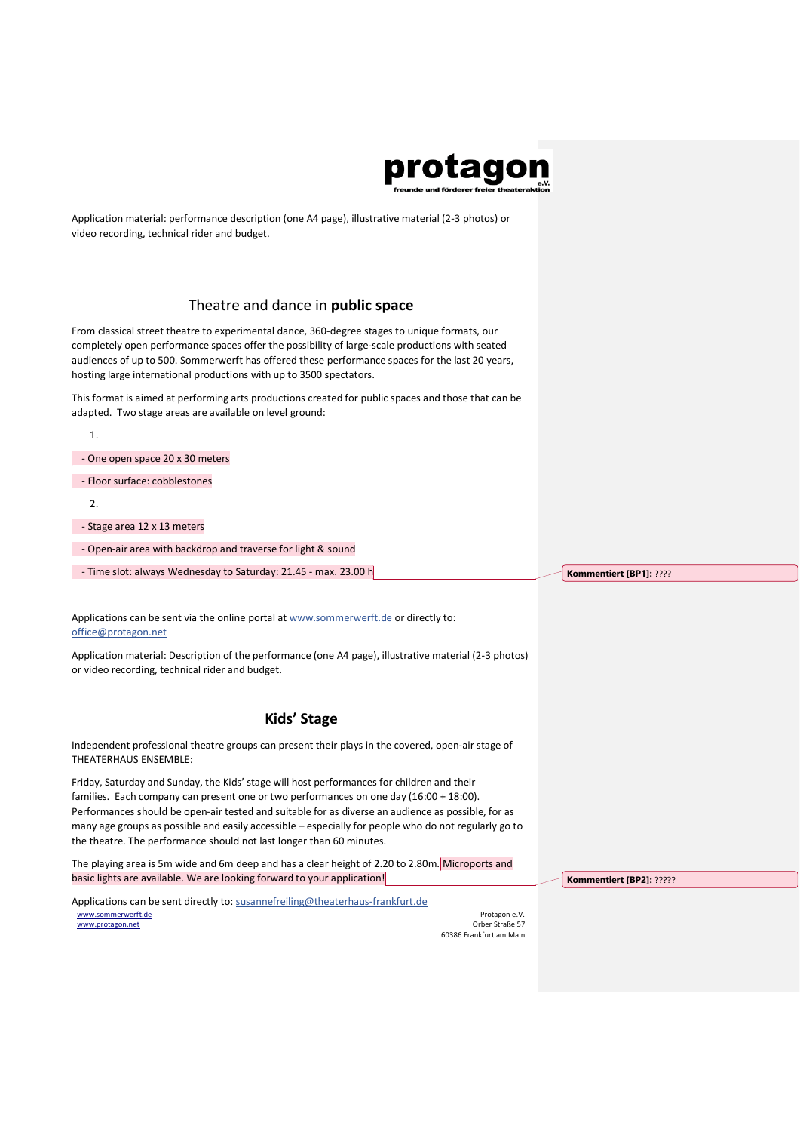

Application material: performance description (one A4 page), illustrative material (2-3 photos) or video recording, technical rider and budget.

## Theatre and dance in **public space**

From classical street theatre to experimental dance, 360-degree stages to unique formats, our completely open performance spaces offer the possibility of large-scale productions with seated audiences of up to 500. Sommerwerft has offered these performance spaces for the last 20 years, hosting large international productions with up to 3500 spectators.

This format is aimed at performing arts productions created for public spaces and those that can be adapted. Two stage areas are available on level ground:

| - One open space 20 x 30 meters                                 |                         |
|-----------------------------------------------------------------|-------------------------|
| - Floor surface: cobblestones                                   |                         |
| $\mathfrak{D}$                                                  |                         |
| - Stage area 12 x 13 meters                                     |                         |
| - Open-air area with backdrop and traverse for light & sound    |                         |
| - Time slot: always Wednesday to Saturday: 21.45 - max. 23.00 h | Kommentiert [BP1]: ???? |

Applications can be sent via the online portal at www.sommerwerft.de or directly to: office@protagon.net

Application material: Description of the performance (one A4 page), illustrative material (2-3 photos) or video recording, technical rider and budget.

## **Kids' Stage**

Independent professional theatre groups can present their plays in the covered, open-air stage of THEATERHAUS ENSEMBLE:

Friday, Saturday and Sunday, the Kids' stage will host performances for children and their families. Each company can present one or two performances on one day (16:00 + 18:00). Performances should be open-air tested and suitable for as diverse an audience as possible, for as many age groups as possible and easily accessible – especially for people who do not regularly go to the theatre. The performance should not last longer than 60 minutes.

The playing area is 5m wide and 6m deep and has a clear height of 2.20 to 2.80m. Microports and basic lights are available. We are looking forward to your application!

[www.sommerwerft.de](http://www.sommerwerft.de/) [www.protagon.net](http://www.protagon.net/) Applications can be sent directly to: susannefreiling@theaterhaus-frankfurt.de

Protagon e.V. Orber Straße 57 60386 Frankfurt am Main **Kommentiert [BP2]:** ?????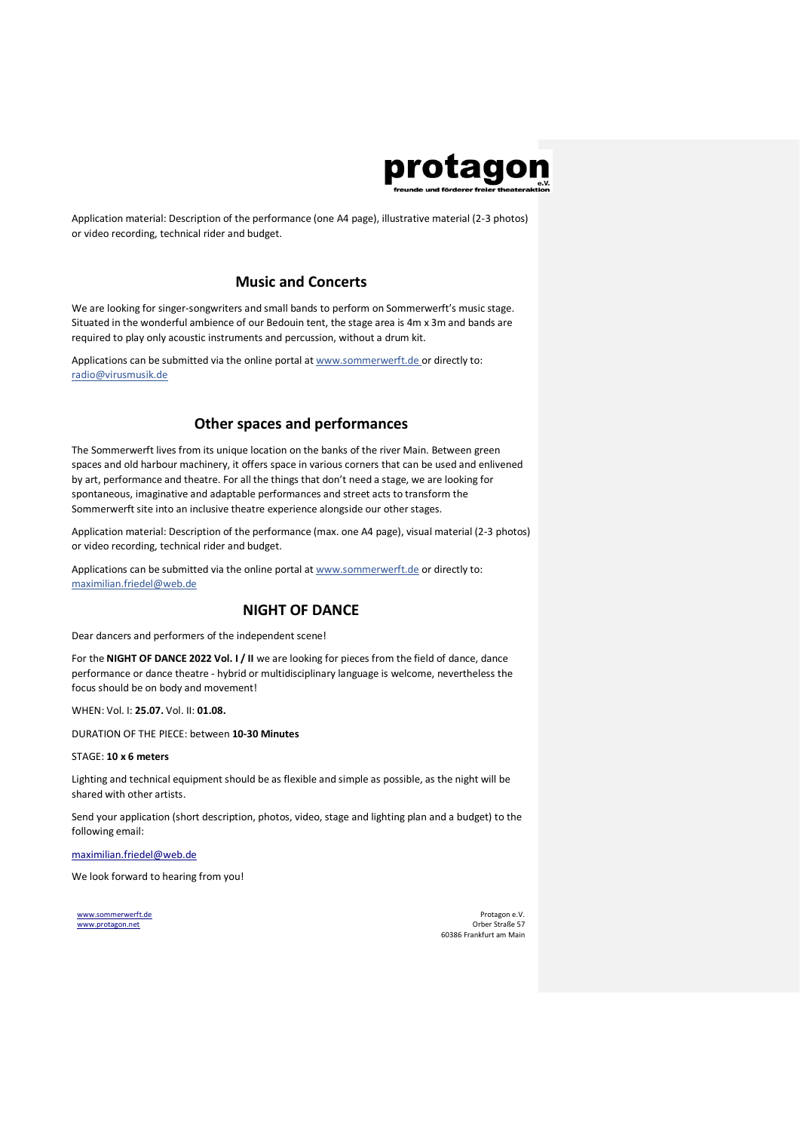

Application material: Description of the performance (one A4 page), illustrative material (2-3 photos) or video recording, technical rider and budget.

# **Music and Concerts**

We are looking for singer-songwriters and small bands to perform on Sommerwerft's music stage. Situated in the wonderful ambience of our Bedouin tent, the stage area is 4m x 3m and bands are required to play only acoustic instruments and percussion, without a drum kit.

Applications can be submitted via the online portal at www.sommerwerft.de or directly to: radio@virusmusik.de

## **Other spaces and performances**

The Sommerwerft lives from its unique location on the banks of the river Main. Between green spaces and old harbour machinery, it offers space in various corners that can be used and enlivened by art, performance and theatre. For all the things that don't need a stage, we are looking for spontaneous, imaginative and adaptable performances and street acts to transform the Sommerwerft site into an inclusive theatre experience alongside our other stages.

Application material: Description of the performance (max. one A4 page), visual material (2-3 photos) or video recording, technical rider and budget.

Applications can be submitted via the online portal at www.sommerwerft.de or directly to: maximilian.friedel@web.de

# **NIGHT OF DANCE**

Dear dancers and performers of the independent scene!

For the **NIGHT OF DANCE 2022 Vol. I / II** we are looking for pieces from the field of dance, dance performance or dance theatre - hybrid or multidisciplinary language is welcome, nevertheless the focus should be on body and movement!

WHEN: Vol. I: **25.07.** Vol. II: **01.08.**

DURATION OF THE PIECE: between **10-30 Minutes**

STAGE: **10 x 6 meters**

Lighting and technical equipment should be as flexible and simple as possible, as the night will be shared with other artists.

Send your application (short description, photos, video, stage and lighting plan and a budget) to the following email:

maximilian.friedel@web.de

We look forward to hearing from you!

[www.sommerwerft.de](http://www.sommerwerft.de/) [www.protagon.net](http://www.protagon.net/)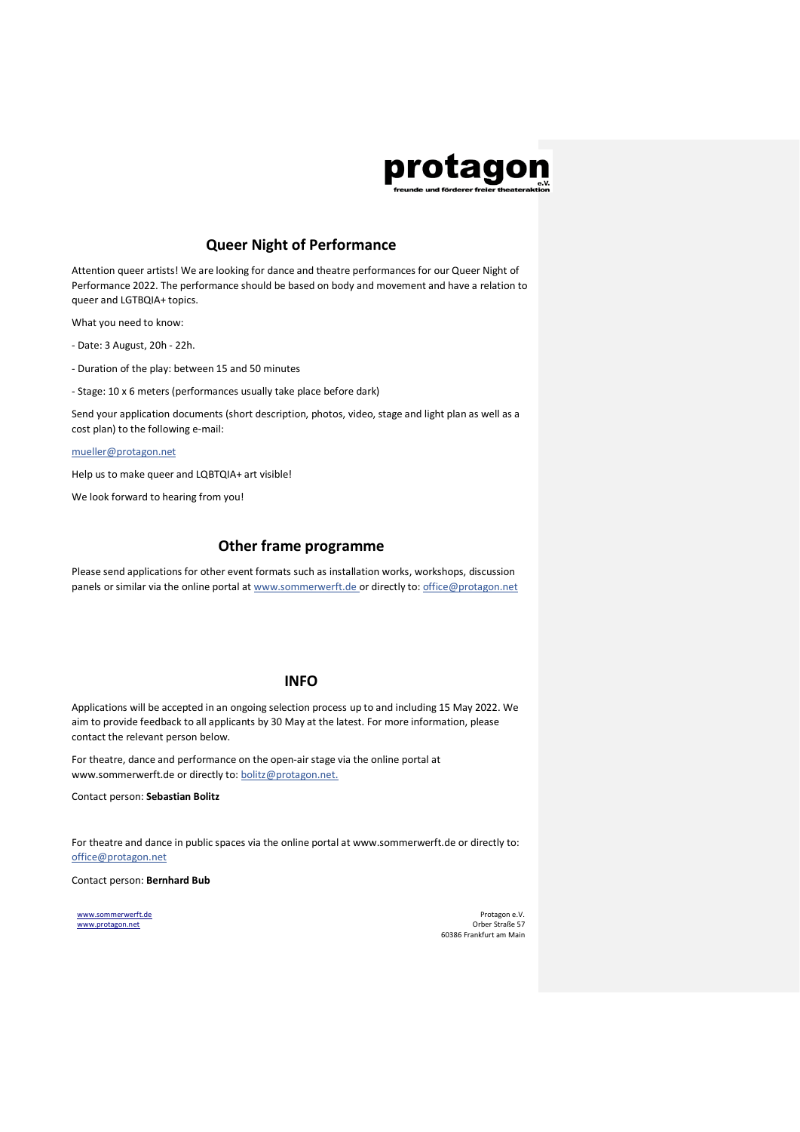# protagon

# **Queer Night of Performance**

Attention queer artists! We are looking for dance and theatre performances for our Queer Night of Performance 2022. The performance should be based on body and movement and have a relation to queer and LGTBQIA+ topics.

What you need to know:

- Date: 3 August, 20h 22h.
- Duration of the play: between 15 and 50 minutes
- Stage: 10 x 6 meters (performances usually take place before dark)

Send your application documents (short description, photos, video, stage and light plan as well as a cost plan) to the following e-mail:

mueller@protagon.net

Help us to make queer and LQBTQIA+ art visible!

We look forward to hearing from you!

#### **Other frame programme**

Please send applications for other event formats such as installation works, workshops, discussion panels or similar via the online portal at www.sommerwerft.de or directly to: office@protagon.net

### **INFO**

Applications will be accepted in an ongoing selection process up to and including 15 May 2022. We aim to provide feedback to all applicants by 30 May at the latest. For more information, please contact the relevant person below.

For theatre, dance and performance on the open-air stage via the online portal at www.sommerwerft.de or directly to: bolitz@protagon.net.

Contact person: **Sebastian Bolitz**

For theatre and dance in public spaces via the online portal at www.sommerwerft.de or directly to: office@protagon.net

Contact person: **Bernhard Bub**

[www.sommerwerft.de](http://www.sommerwerft.de/) [www.protagon.net](http://www.protagon.net/)